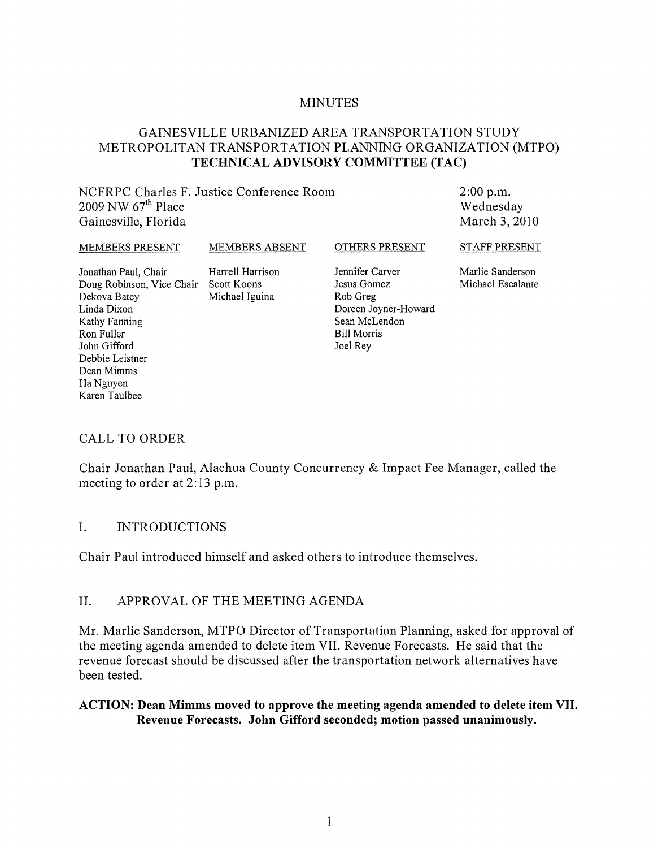#### MINUTES

#### GAINESVILLE URBANIZED AREA TRANSPORTATION STUDY METROPOLITAN TRANSPORTATION PLANNING ORGANIZATION (MTPO) **TECHNICAL ADVISORY COMMITTEE** (TAC)

NCFRPC Charles F. Justice Conference Room 2009 NW *6ih* Place Gainesville, Florida

2:00 p.m. Wednesday March 3, 2010

#### MEMBERS PRESENT

Dekova Batey Linda Dixon Kathy Fanning Ron Fuller John Gifford Debbie Leistner Dean Mimms Ha Nguyen Karen Taulbee

Jonathan Paul, Chair Doug Robinson, Vice Chair Scott Koons Harrell Harrison Michael Iguina

MEMBERS ABSENT

Jennifer Carver Jesus Gomez Rob Greg Doreen Joyner-Howard Sean McLendon Bill Morris Joel Rey

OTHERS PRESENT

STAFF PRESENT

Marlie Sanderson Michael Escalante

#### CALL TO ORDER

Chair Jonathan Paul, Alachua County Concurrency & Impact Fee Manager, called the meeting to order at 2:13 p.m.

#### I. INTRODUCTIONS

Chair Paul introduced himself and asked others to introduce themselves.

#### II. APPROVAL OF THE MEETING AGENDA

Mr. Marlie Sanderson, MTPO Director of Transportation Planning, asked for approval of the meeting agenda amended to delete item VII. Revenue Forecasts. He said that the revenue forecast should be discussed after the transportation network alternatives have been tested.

#### **ACTION: Dean Mimms moved to approve the meeting agenda amended to delete item VII. Revenue Forecasts. John Gifford seconded; motion passed unanimously.**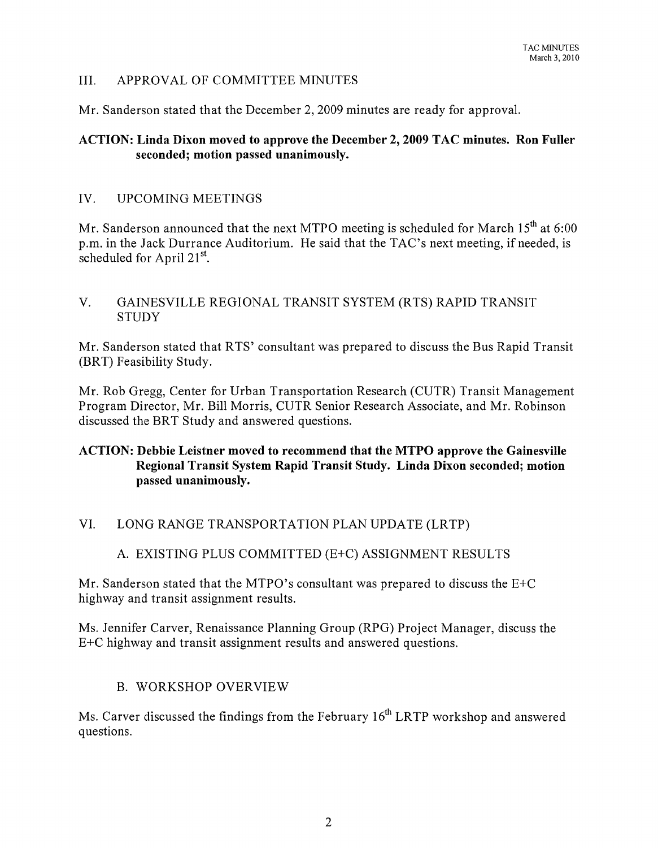## III. APPROVAL OF COMMITTEE MINUTES

Mr. Sanderson stated that the December 2, 2009 minutes are ready for approval.

#### ACTION: Linda Dixon moved to approve the December 2, 2009 TAC minutes. Ron Fuller seconded; motion passed unanimously.

## IV. UPCOMING MEETINGS

Mr. Sanderson announced that the next MTPO meeting is scheduled for March  $15<sup>th</sup>$  at 6:00 p.m. in the Jack Durrance Auditorium. He said that the TAC's next meeting, if needed, is scheduled for April  $21^{st}$ .

## V. GAINESVILLE REGIONAL TRANSIT SYSTEM (RTS) RAPID TRANSIT **STUDY**

Mr. Sanderson stated that RTS' consultant was prepared to discuss the Bus Rapid Transit (BRT) Feasibility Study.

Mr. Rob Gregg, Center for Urban Transportation Research (CUTR) Transit Management Program Director, Mr. Bill Morris, CUTR Senior Research Associate, and Mr. Robinson discussed the BRT Study and answered questions.

# ACTION: Debbie Leistner moved to recommend that the MTPO approve the Gainesville Regional Transit System Rapid Transit Study. Linda Dixon seconded; motion passed unanimously.

# VI. LONG RANGE TRANSPORTATION PLAN UPDATE (LRTP)

## A. EXISTING PLUS COMMITTED (E+C) ASSIGNMENT RESULTS

Mr. Sanderson stated that the MTPO's consultant was prepared to discuss the E+C highway and transit assignment results.

Ms. Jennifer Carver, Renaissance Planning Group (RPG) Project Manager, discuss the E+C highway and transit assignment results and answered questions.

## B. WORKSHOP OVERVIEW

Ms. Carver discussed the findings from the February  $16<sup>th</sup> LRTP$  workshop and answered questions.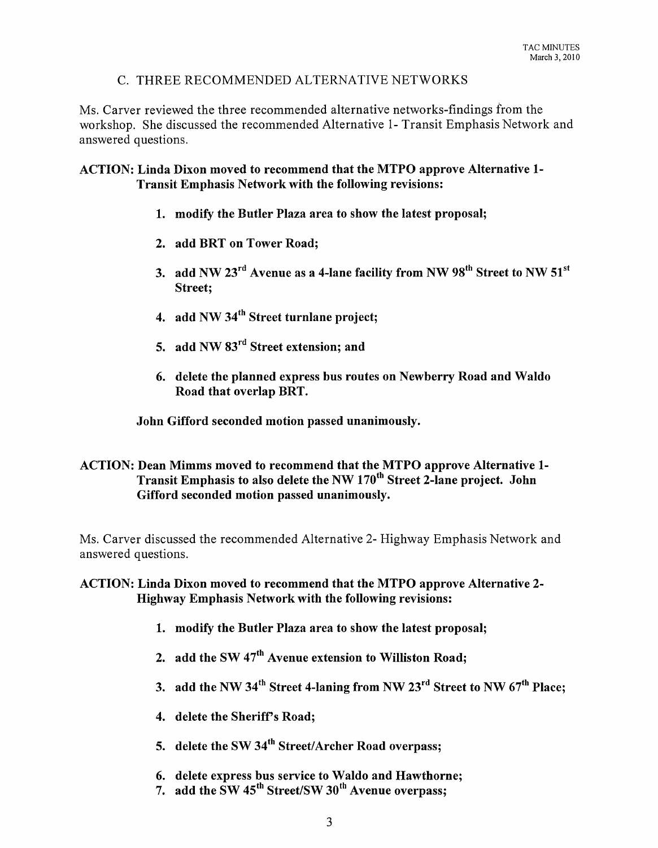## C. THREE RECOMMENDED ALTERNATIVE NETWORKS

Ms. Carver reviewed the three recommended alternative networks-findings from the workshop. She discussed the recommended Alternative 1- Transit Emphasis Network and answered questions.

#### ACTION: Linda Dixon moved to recommend that the MTPO approve Alternative 1- Transit Emphasis Network with the following revisions:

- 1. modify the Butler Plaza area to show the latest proposal;
- 2. add BRT on Tower Road;
- 3. add NW  $23^{\text{rd}}$  Avenue as a 4-lane facility from NW  $98^{\text{th}}$  Street to NW  $51^{\text{st}}$ Street;
- 4. add NW 34<sup>th</sup> Street turnlane project;
- 5. add NW 83rd Street extension; and
- 6. delete the planned express bus routes on Newberry Road and Waldo Road that overlap BRT.

John Gifford seconded motion passed unanimously.

#### ACTION: Dean Mimms moved to recommend that the MTPO approve Alternative 1- Transit Emphasis to also delete the NW 170<sup>th</sup> Street 2-lane project. John Gifford seconded motion passed unanimously.

Ms. Carver discussed the recommended Alternative 2- Highway Emphasis Network and answered questions.

#### ACTION: Linda Dixon moved to recommend that the MTPO approve Alternative 2- Highway Emphasis Network with the following revisions:

- 1. modify the Butler Plaza area to show the latest proposal;
- 2. add the SW  $47<sup>th</sup>$  Avenue extension to Williston Road;
- 3. add the NW 34<sup>th</sup> Street 4-laning from NW 23<sup>rd</sup> Street to NW  $67<sup>th</sup>$  Place;
- 4. delete the Sheriff's Road;
- 5. delete the SW 34<sup>th</sup> Street/Archer Road overpass;
- 6. delete express bus service to Waldo and Hawthorne;
- 7. add the  $\text{SW } 45^{\text{th}}$  Street/SW  $30^{\text{th}}$  Avenue overpass: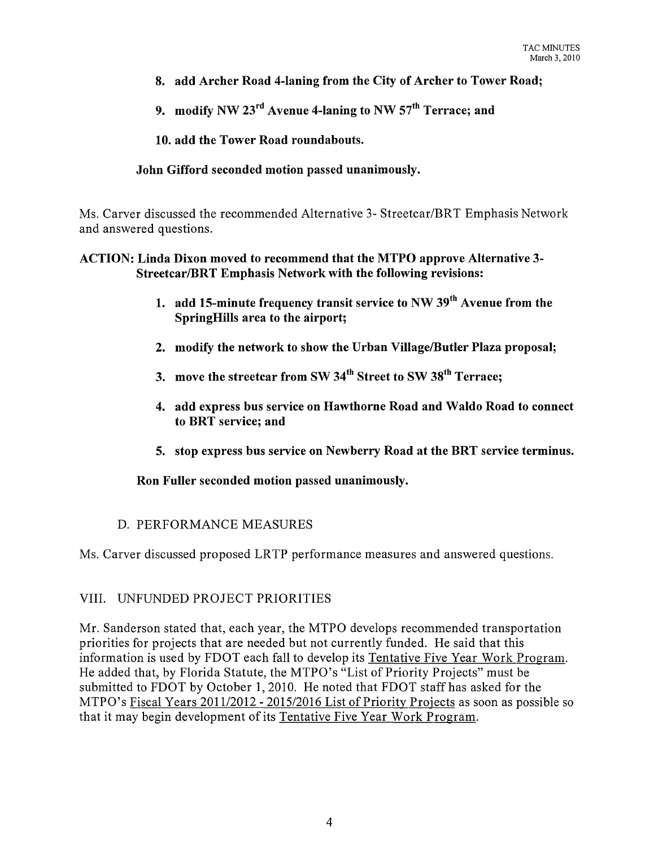- 8. add Archer Road 4-laning from the City of Archer to Tower Road;
- 9. modify NW  $23<sup>rd</sup>$  Avenue 4-laning to NW  $57<sup>th</sup>$  Terrace: and

10. add the Tower Road roundabouts.

#### John Gifford seconded motion passed unanimously.

Ms. Carver discussed the recommended Alternative 3- Streetcar/BRT Emphasis Network and answered questions.

#### ACTION: Linda Dixon moved to recommend that the MTPO approve Alternative 3- Streetcar/BRT Emphasis Network with the following revisions:

- 1. add 15-minute frequency transit service to NW  $39<sup>th</sup>$  Avenue from the SpringHills area to the airport;
- 2. modify the network to show the Urban Village/Butler Plaza proposal;
- 3. move the streetcar from SW 34<sup>th</sup> Street to SW 38<sup>th</sup> Terrace:
- 4. add express bus service on Hawthorne Road and Waldo Road to connect to BRT service; and
- 5. stop express bus service on Newberry Road at the BRT service terminus.

#### Ron Fuller seconded motion passed unanimously.

## D. PERFORMANCE MEASURES

Ms. Carver discussed proposed LR TP performance measures and answered questions.

## VIII. UNFUNDED PROJECT PRIORITIES

Mr. Sanderson stated that, each year, the MTPO develops recommended transportation priorities for projects that are needed but not currently funded. He said that this information is used by FDOT each fall to develop its Tentative Five Year Work Program. He added that, by Florida Statute, the MTPO's "List of Priority Projects" must be submitted to FDOT by October 1,2010. He noted that FDOT staff has asked for the MTPO's Fiscal Years 2011/2012 - 2015/2016 List of Priority Projects as soon as possible so that it may begin development of its Tentative Five Year Work Program.